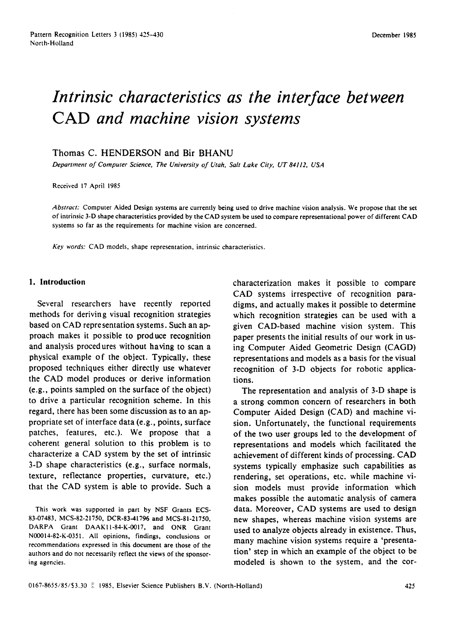# Intrinsic characteristics as the interface between **CAD** and machine vision systems

## Thomas C. HENDERSON and Bir BHANU

*Department of Computer Science, The University of Utah, Salt Lake City, UT 84112, USA* 

Received 17 April 1985

*Abstract:* Computer Aided Design systems are currently being used to drive machine vision analysis. We propose that the set of intrinsic 3-D shape characteristics provided by the CAD system be used to compare representational power of different CAD systems so far as the requirements for machine vision are concerned.

*Key words:* CAD models, shape representation, intrinsic characteristics.

#### **1. Introduction**

Several researchers have recently reported methods for deriving visual recognition strategies based on CAD representation systems. Such an approach makes it possible to produce recognition and analysis procedures without having to scan a physical example of the object. Typically, these proposed techniques either directly use whatever the CAD model produces or derive information (e.g., points sampled on the surface of the object) to drive a particular recognition scheme. In this regard, there has been some discussion as to an appropriate set of interface data (e.g., points, surface patches, features, etc.). We propose that a coherent general solution to this problem is to characterize a CAD system by the set of intrinsic 3-D shape characteristics (e.g., surface normals, texture, reflectance properties, curvature, etc.) that the CAD system is able to provide. Such a

This work was supported in part by NSF Grants ECS-83-07483, MCS-82-21750, DCR-83-41796 and MCS-81-21750, DARPA Grant DAAKII-84-K-0017, and ONR Grant N00014-82-K-0351. All opinions, findings, conclusions or recommendations expressed in this document are those of the authors and do not necessarily reflect the views of the sponsoring agencies.

characterization makes it possible to compare CAD systems irrespective of recognition paradigms, and actually makes it possible to determine which recognition strategies can be used with a given CAD-based machine vision system. This paper presents the initial results of our work in using Computer Aided Geometric Design (CAGD) representations and models as a basis for the visual recognition of 3-D objects for robotic applications.

The representation and analysis of 3-D shape is a strong common concern of researchers in both Computer Aided Design (CAD) and machine vision. Unfortunately, the functional requirements of the two user groups led to the development of representations and models which facilitated the achievement of different kinds of processing. CAD systems typically emphasize such capabilities as rendering, set operations, etc. while machine vision models must provide information which makes possible the automatic analysis of camera data. Moreover, CAD systems are used to design new shapes, whereas machine vision systems are used to analyze objects already in existence. Thus, many machine vision systems require a 'presentation' step in which an example of the object to be modeled is shown to the system, and the cor-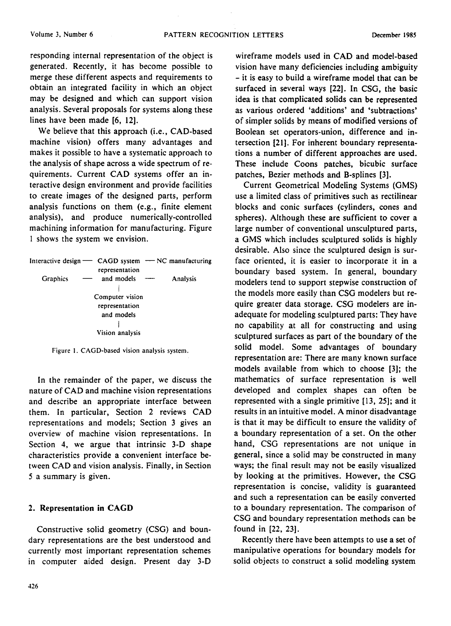responding internal representation of the object is generated. Recently, it has become possible to merge these different aspects and requirements to obtain an integrated facility in which an object may be designed and which can support vision analysis. Several proposals for systems along these lines have been made [6, 12].

We believe that this approach (i.e., CAD-based machine vision) offers many advantages and makes it possible to have a systematic approach to the analysis of shape across a wide spectrum of requirements. Current CAD systems offer an interactive design environment and provide facilities to create images of the designed parts, perform analysis functions on them (e.g., finite element analysis), and produce numerically-controlled machining information for manufacturing. Figure 1 shows the system we envision.

| Interactive design $\sim$ CAGD system $\sim$ NC manufacturing | representation  |  |          |
|---------------------------------------------------------------|-----------------|--|----------|
| Graphics                                                      | and models      |  | Analysis |
|                                                               |                 |  |          |
| Computer vision                                               |                 |  |          |
| representation                                                |                 |  |          |
| and models                                                    |                 |  |          |
|                                                               |                 |  |          |
|                                                               | Vision analysis |  |          |

Figure I. CAGD-based vision analysis system.

In the remainder of the paper, we discuss the nature of CAD and machine vision representations and describe an appropriate interface between them. In particular, Section 2 reviews CAD representations and models; Section 3 gives an overview of machine vision representations. In Section 4, we argue that intrinsic 3-D shape characteristics provide a convenient interface between CAD and vision analysis. Finally, in Section 5 a summary is given.

### 2. **Representation in** CAGD

Constructive solid geometry (CSG) and boundary representations are the best understood and currently most important representation schemes in computer aided design. Present day 3-D

wireframe models used in CAD and model-based vision have many deficiencies including ambiguity **-** it is easy to build a wireframe model that can be surfaced in several ways [22]. In CSG, the basic idea is that complicated solids can be represented as various ordered 'additions' and 'subtractions' of simpler solids by means of modified versions of Boolean set operators-union, difference and intersection [21]. For inherent boundary representations a number of different approaches are used. These include Coons patches, bicubic surface patches, Bezier methods and B-splines [3].

Current Geometrical Modeling Systems (GMS) use a limited class of primitives such as rectilinear blocks and conic surfaces (cylinders, cones and spheres). Although these are sufficient to cover a large number of conventional unsculptured parts, a GMS which includes sculptured solids is highly desirable. Also since the sculptured design is surface oriented, it is easier to incorporate it in a boundary based system. In general, boundary modelers tend to support stepwise construction of the models more easily than CSG modelers but require greater data storage. CSG modelers are inadequate for modeling sculptured parts: They have no capability at all for constructing and using sculptured surfaces as part of the boundary of the solid model. Some advantages of boundary representation are: There are many known surface models available from which to choose [3]; the mathematics of surface representation is well developed and complex shapes can often be represented with a single primitive [13, 25]; and it results in an intuitive model. A minor disadvantage is that it may be difficult to ensure the validity of a boundary representation of a set. On the other hand, CSG representations are not unique in general, since a solid may be constructed in many ways; the final result may not be easily visualized by looking at the primitives. However, the CSG representation is concise, validity is guaranteed and such a representation can be easily converted to a boundary representation. The comparison of CSG and boundary representation methods can be found in [22, 23].

Recently there have been attempts to use a set of manipulative operations for boundary models for solid objects to construct a solid modeling system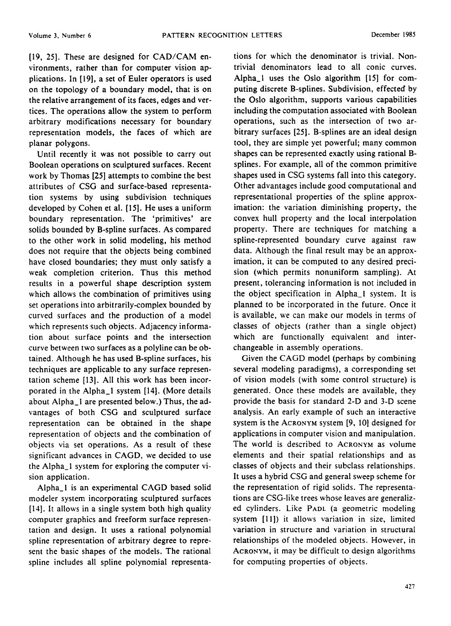[19, 25]. These are designed for CAD/CAM environments, rather than for computer vision applications. In [19], a set of Euler operators is used on the topology of a boundary model, that is on the relative arrangement of its faces, edges and vertices. The operations allow the system to perform arbitrary modifications necessary for boundary representation models, the faces of which are planar polygons.

Until recently it was not possible to carry out Boolean operations on sculptured surfaces. Recent work by Thomas [25] attempts to combine the best attributes of CSG and surface-based representation systems by using subdivision techniques developed by Cohen et ai. [15]. He uses a uniform boundary representation. The 'primitives' are solids bounded by B-spline surfaces. As compared to the other work in solid modeling, his method does not require that the objects being combined have closed boundaries; they must only satisfy a weak completion criterion. Thus this method results in a powerful shape description system which allows the combination of primitives using set operations into arbitrarily-complex bounded by curved surfaces and the production of a model which represents such objects. Adjacency information about surface points and the intersection curve between two surfaces as a polyline can be obtained. Although he has used B-spline surfaces, his techniques are applicable to any surface representation scheme [13]. All this work has been incorporated in the Alpha<sub>1</sub> system [14]. (More details about Alpha\_l are presented below.)Thus, the advantages of both CSG and sculptured surface representation can be obtained in the shape representation of objects and the combination of objects via set operations. As a result of these significant advances in CAGD, we decided to use the Alpha\_l system for exploring the computer vision application.

Alpha\_1 is an experimental CAGD based solid modeler system incorporating sculptured surfaces [14]. It allows in a single system both high quality computer graphics and freeform surface representation and design. It uses a rational polynomial spline representation of arbitrary degree to represent the basic shapes of the models. The rational spline includes all spline polynomial representations for which the denominator is trivial. Nontrivial denominators lead to all conic curves. Alpha<sub>1</sub> uses the Oslo algorithm [15] for computing discrete B-splines. Subdivision, effected by the Oslo algorithm, supports various capabilities including the computation associated with Boolean operations, such as the intersection of two arbitrary surfaces [251. B-splines are an ideal design tool, they are simple yet powerful; many common shapes can be represented exactly using rational Bsplines. For example, all of the common primitive shapes used in CSG systems fall into this category. Other advantages include good computational and representational properties of the spline approximation: the variation diminishing property, the convex hull property and the local interpolation property. There are techniques for matching a spline-represented boundary curve against raw data. Although the final result may be an approximation, it can be computed to any desired precision (which permits nonuniform sampling). At present, tolerancing information is not included in the object specification in Alpha\_l system. It is planned to be incorporated in the future. Once it is available, we can make our models in terms of classes of objects (rather than a single object) which are functionally equivalent and interchangeable in assembly operations.

Given the CAGD model (perhaps by combining several modeling paradigms), a corresponding set of vision models (with some control structure) is generated. Once these models are available, they provide the basis for standard 2-D and 3-D scene analysis. An early example of such an interactive system is the ACRONYM system [9, 10] designed for applications in computer vision and manipulation. The world is described to ACRONYM as volume elements and their spatial relationships and as classes of objects and their subclass relationships. It uses a hybrid CSG and general sweep scheme for the representation of rigid solids. The representations are CSG-like trees whose leaves are generalized cylinders. Like PADL (a geometric modeling system [11]) it allows variation in size, limited variation in structure and variation in structural relationships of the modeled objects. However, in ACRONYM, it may be difficult to design algorithms for computing properties of objects.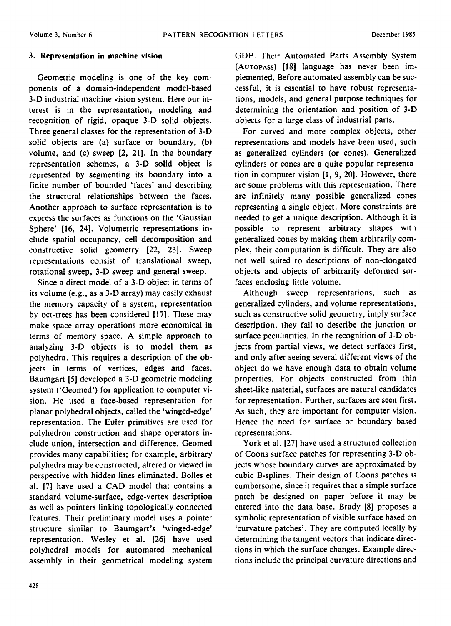# **3. Representation in machine vision**

Geometric modeling is one of the key components of a domain-independent model-based 3-D industrial machine vision system. Here our interest is in the representation, modeling and recognition of rigid, opaque 3-D solid objects. Three general classes for the representation of 3-D solid objects are (a) surface or boundary, (b) volume, and (c) sweep [2, 21]. In the boundary representation schemes, a 3-D solid object is represented by segmenting its boundary into a finite number of bounded 'faces' and describing the structural relationships between the faces. Another approach to surface representation is to express the surfaces as functions on the 'Gaussian Sphere' [16, 24]. Volumetric representations include spatial occupancy, cell decomposition and constructive solid geometry [22, 23]. Sweep representations consist of translational sweep, rotational sweep, 3-D sweep and general sweep.

Since a direct model of a 3-D object in terms of its volume (e.g., as a 3-D array) may easily exhaust the memory capacity of a system, representation by oct-trees has been considered [17]. These may make space array operations more economical in terms of memory space. A simple approach to analyzing 3-D objects is to model them as polyhedra. This requires a description of the objects in terms of vertices, edges and faces. Baumgart [5] developed a 3-D geometric modeling system ('Geomed') for application to computer vision. He used a face-based representation for planar polyhedral objects, called the 'winged-edge' representation. The Euler primitives are used for polyhedron construction and shape operators include union, intersection and difference. Geomed provides many capabilities; for example, arbitrary polyhedra may be constructed, altered or viewed in perspective with hidden lines eliminated. Bolles et al. [7] have used a CAD model that contains a standard volume-surface, edge-vertex description as well as pointers linking topologically connected features. Their preliminary model uses a pointer structure similar to Baumgart's 'winged-edge' representation. Wesley et al. [26] have used polyhedral models for automated mechanical assembly in their geometrical modeling system GDP. Their Automated Parts Assembly System (AUTOPASS) [181 language has never been implemented. Before automated assembly can be successful, it is essential to have robust representations, models, and general purpose techniques for determining the orientation and position of 3-D objects for a large class of industrial parts.

For curved and more complex objects, other representations and models have been used, such as generalized cylinders (or cones). Generalized cylinders or cones are a quite popular representation in computer vision [1, 9, 20]. However, there are some problems with this representation. There are infinitely many possible generalized cones representing a single object. More constraints are needed to get a unique description. Although it is possible to represent arbitrary shapes with generalized cones by making them arbitrarily complex, their computation is difficult. They are also not well suited to descriptions of non-elongated objects and objects of arbitrarily deformed surfaces enclosing little volume.

Although sweep representations, such as generalized cylinders, and volume representations, such as constructive solid geometry, imply surface description, they fail to describe the junction or surface peculiarities. In the recognition of 3-D objects from partial views, we detect surfaces first, and only after seeing several different views of the object do we have enough data to obtain volume properties. For objects constructed from thin sheet-like material, surfaces are natural candidates for representation. Further, surfaces are seen first. As such, they are important for computer vision. Hence the need for surface or boundary based representations.

York et al. [27] have used a structured collection of Coons surface patches for representing 3-D objects whose boundary curves are approximated by cubic B-splines. Their design of Coons patches is cumbersome, since it requires that a simple surface patch be designed on paper before it may be entered into the data base. Brady [8] proposes a symbolic representation of visible surface based on 'curvature patches'. They are computed locally by determining the tangent vectors that indicate directions in which the surface changes. Example directions include the principal curvature directions and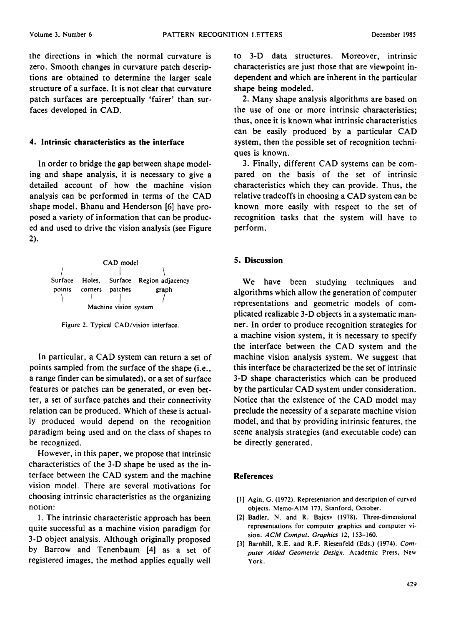the directions in which the normal curvature is zero. Smooth changes in curvature patch descriptions are obtained to determine the larger scale structure of a surface. It is not clear that curvature patch surfaces are perceptually 'fairer' than surfaces developed in CAD.

#### **4. Intrinsic characteristics as the interface**

In order to bridge the gap between shape modeling and shape analysis, it is necessary to give a detailed account of how the machine vision analysis can be performed in terms of the CAD shape model. Bhanu and Henderson [6] have proposed a variety of information that can be produced and used to drive the vision analysis (see Figure 2).



Figure 2. Typical CAD/vision interface.

In particular, a CAD system can return a set of points sampled from the surface of the shape (i.e., a range finder can be simulated), or a set of surface features or patches can be generated, or even better, a set of surface patches and their connectivity relation can be produced. Which of these is actually produced would depend on the recognition paradigm being used and on the class of shapes to be recognized.

However, in this paper, we propose that intrinsic characteristics of the 3-D shape be used as the interface between the CAD system and the machine vision model. There are several motivations for choosing intrinsic characteristics as the organizing notion:

I. The intrinsic characteristic approach has been quite successful as a machine vision paradigm for 3-D object analysis. Although originally proposed by Barrow and Tenenbaum [41 as a set of registered images, the method applies equally well

to 3-D data structures. Moreover, intrinsic characteristics are just those that are viewpoint independent and which are inherent in the particular shape being modeled.

2. Many shape analysis algorithms are based on the use of one or more intrinsic characteristics; thus, once it is known what intrinsic characteristics can be easily produced by a particular CAD system, then the possible set of recognition techniques is known.

3. Finally, different CAD systems can be compared on the basis of the set of intrinsic characteristics which they can provide. Thus, the relative tradeoffs in choosing a CAD system can be known more easily with respect to the set of recognition tasks that the system will have to perform.

## **5. Discussion**

We have been studying techniques and algorithms which allow the generation of computer representations and geometric models of complicated realizable 3-D objects in a systematic manner. In order to produce recognition strategies for a machine vision system, it is necessary to specify the interface between the CAD system and the machine vision analysis system. We suggest that this interface be characterized be the set of intrinsic 3-D shape characteristics which can be produced by the particular CAD system under consideration. Notice that the existence of the CAD model may preclude the necessity of a separate machine vision model, and that by providing intrinsic features, the scene analysis strategies (and executable code) can be directly generated.

## **References**

- [I] Agin, G. (1972). Representation and description of curved objects. Memo-AIM 173, Stanford, October.
- [2] Badler, N. and R. Bajcsv (1978). Three-dimensional representations for computer graphics and computer vision. *ACM Comput. Graphics* 12, 153-160.
- [3l Barnhill, R.E. and R.F. Riesenfeld (Eds.) (1974). *Computer Aided Geometric Design.* Academic Press, New York.